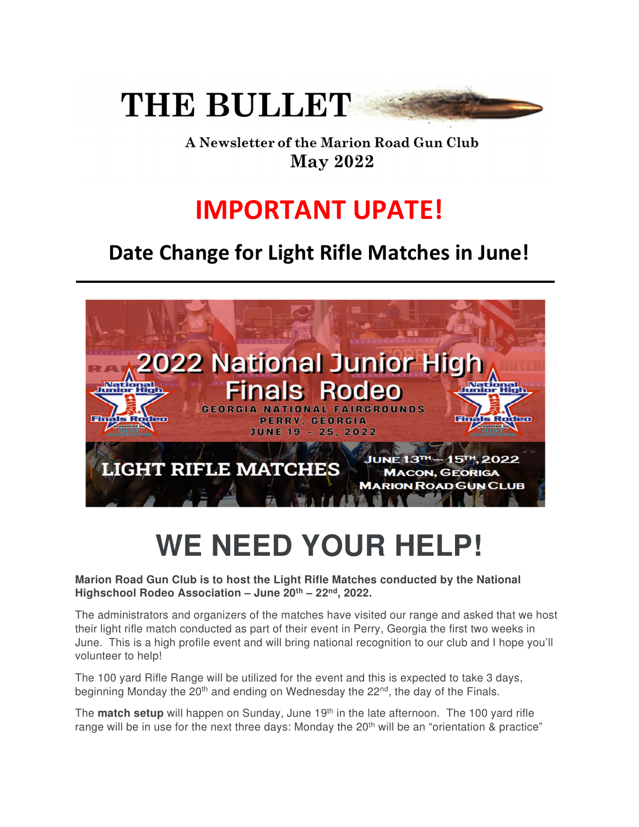

A Newsletter of the Marion Road Gun Club **May 2022** 

## **IMPORTANT UPATE!**

## **Date Change for Light Rifle Matches in June!**



## WE NEED YOUR HELP!

## **Marion Road Gun Club is to host the Light Rifle Matches conducted by the National Highschool Rodeo Association – June 20th – 22nd, 2022.**

The administrators and organizers of the matches have visited our range and asked that we host their light rifle match conducted as part of their event in Perry, Georgia the first two weeks in June. This is a high profile event and will bring national recognition to our club and I hope you'll volunteer to help!

The 100 yard Rifle Range will be utilized for the event and this is expected to take 3 days, beginning Monday the 20<sup>th</sup> and ending on Wednesday the 22<sup>nd</sup>, the day of the Finals.

The **match setup** will happen on Sunday, June 19<sup>th</sup> in the late afternoon. The 100 yard rifle range will be in use for the next three days: Monday the  $20<sup>th</sup>$  will be an "orientation & practice"